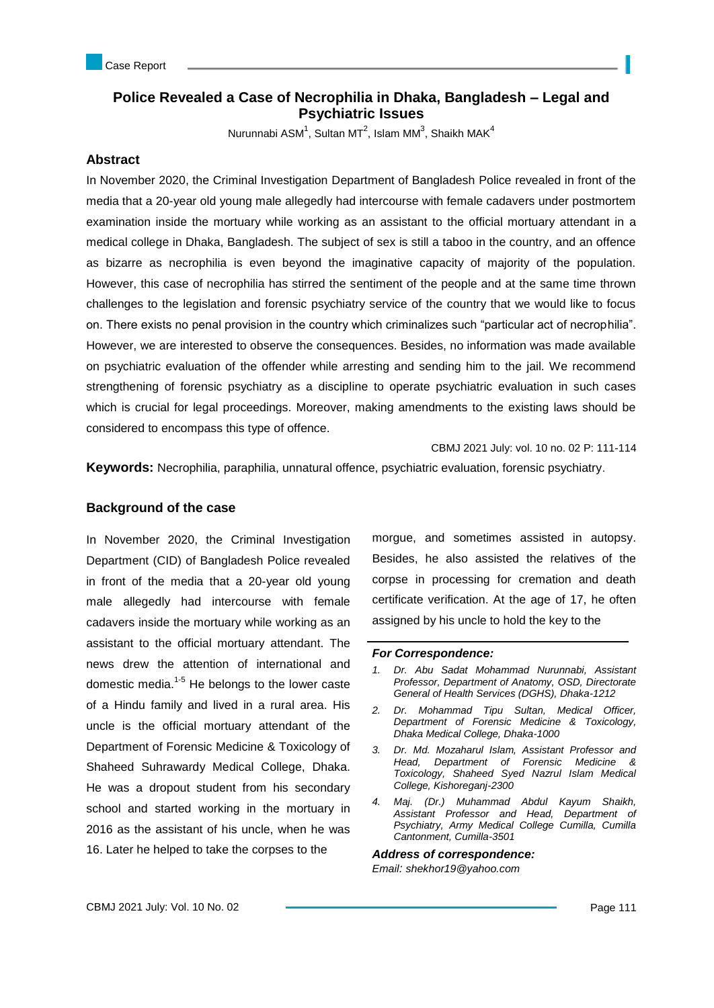# **Police Revealed a Case of Necrophilia in Dhaka, Bangladesh – Legal and Psychiatric Issues**

Nurunnabi ASM<sup>1</sup>, Sultan MT<sup>2</sup>, Islam MM<sup>3</sup>, Shaikh MAK<sup>4</sup>

### **Abstract**

In November 2020, the Criminal Investigation Department of Bangladesh Police revealed in front of the media that a 20-year old young male allegedly had intercourse with female cadavers under postmortem examination inside the mortuary while working as an assistant to the official mortuary attendant in a medical college in Dhaka, Bangladesh. The subject of sex is still a taboo in the country, and an offence as bizarre as necrophilia is even beyond the imaginative capacity of majority of the population. However, this case of necrophilia has stirred the sentiment of the people and at the same time thrown challenges to the legislation and forensic psychiatry service of the country that we would like to focus on. There exists no penal provision in the country which criminalizes such "particular act of necrophilia". However, we are interested to observe the consequences. Besides, no information was made available on psychiatric evaluation of the offender while arresting and sending him to the jail. We recommend strengthening of forensic psychiatry as a discipline to operate psychiatric evaluation in such cases which is crucial for legal proceedings. Moreover, making amendments to the existing laws should be considered to encompass this type of offence.

CBMJ 2021 July: vol. 10 no. 02 P: 111-114

**Keywords:** Necrophilia, paraphilia, unnatural offence, psychiatric evaluation, forensic psychiatry.

### **Background of the case**

In November 2020, the Criminal Investigation Department (CID) of Bangladesh Police revealed in front of the media that a 20-year old young male allegedly had intercourse with female cadavers inside the mortuary while working as an assistant to the official mortuary attendant. The news drew the attention of international and domestic media. $1-5$  He belongs to the lower caste of a Hindu family and lived in a rural area. His uncle is the official mortuary attendant of the Department of Forensic Medicine & Toxicology of Shaheed Suhrawardy Medical College, Dhaka. He was a dropout student from his secondary school and started working in the mortuary in 2016 as the assistant of his uncle, when he was 16. Later he helped to take the corpses to the

morgue, and sometimes assisted in autopsy. Besides, he also assisted the relatives of the corpse in processing for cremation and death certificate verification. At the age of 17, he often assigned by his uncle to hold the key to the

#### *For Correspondence:*

- *1. Dr. Abu Sadat Mohammad Nurunnabi, Assistant Professor, Department of Anatomy, OSD, Directorate General of Health Services (DGHS), Dhaka-1212*
- *2. Dr. Mohammad Tipu Sultan, Medical Officer, Department of Forensic Medicine & Toxicology, Dhaka Medical College, Dhaka-1000*
- *3. Dr. Md. Mozaharul Islam, Assistant Professor and Head, Department of Forensic Medicine & Toxicology, Shaheed Syed Nazrul Islam Medical College, Kishoreganj-2300*
- *4. Maj. (Dr.) Muhammad Abdul Kayum Shaikh, Assistant Professor and Head, Department of Psychiatry, Army Medical College Cumilla, Cumilla Cantonment, Cumilla-3501*

*Address of correspondence: Email: shekhor19@yahoo.com*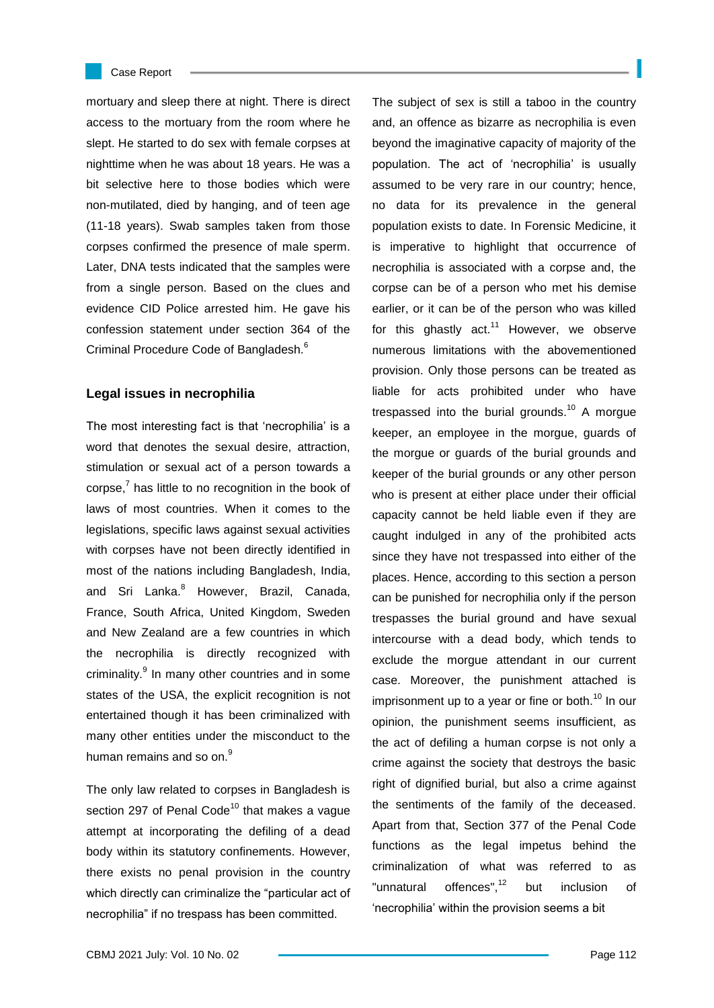

#### Case Report

mortuary and sleep there at night. There is direct access to the mortuary from the room where he slept. He started to do sex with female corpses at nighttime when he was about 18 years. He was a bit selective here to those bodies which were non-mutilated, died by hanging, and of teen age (11-18 years). Swab samples taken from those corpses confirmed the presence of male sperm. Later, DNA tests indicated that the samples were from a single person. Based on the clues and evidence CID Police arrested him. He gave his confession statement under section 364 of the Criminal Procedure Code of Bangladesh.<sup>6</sup>

# **Legal issues in necrophilia**

The most interesting fact is that "necrophilia" is a word that denotes the sexual desire, attraction, stimulation or sexual act of a person towards a corpse, $7$  has little to no recognition in the book of laws of most countries. When it comes to the legislations, specific laws against sexual activities with corpses have not been directly identified in most of the nations including Bangladesh, India, and Sri Lanka.<sup>8</sup> However, Brazil, Canada, France, South Africa, United Kingdom, Sweden and New Zealand are a few countries in which the necrophilia is directly recognized with criminality.<sup>9</sup> In many other countries and in some states of the USA, the explicit recognition is not entertained though it has been criminalized with many other entities under the misconduct to the human remains and so on.<sup>9</sup>

The only law related to corpses in Bangladesh is section 297 of Penal Code $10$  that makes a vague attempt at incorporating the defiling of a dead body within its statutory confinements. However, there exists no penal provision in the country which directly can criminalize the "particular act of necrophilia" if no trespass has been committed.

The subject of sex is still a taboo in the country and, an offence as bizarre as necrophilia is even beyond the imaginative capacity of majority of the population. The act of "necrophilia" is usually assumed to be very rare in our country; hence, no data for its prevalence in the general population exists to date. In Forensic Medicine, it is imperative to highlight that occurrence of necrophilia is associated with a corpse and, the corpse can be of a person who met his demise earlier, or it can be of the person who was killed for this ghastly  $act.^{11}$  However, we observe numerous limitations with the abovementioned provision. Only those persons can be treated as liable for acts prohibited under who have trespassed into the burial grounds.<sup>10</sup> A morgue keeper, an employee in the morgue, guards of the morgue or guards of the burial grounds and keeper of the burial grounds or any other person who is present at either place under their official capacity cannot be held liable even if they are caught indulged in any of the prohibited acts since they have not trespassed into either of the places. Hence, according to this section a person can be punished for necrophilia only if the person trespasses the burial ground and have sexual intercourse with a dead body, which tends to exclude the morgue attendant in our current case. Moreover, the punishment attached is imprisonment up to a year or fine or both. $10$  In our opinion, the punishment seems insufficient, as the act of defiling a human corpse is not only a crime against the society that destroys the basic right of dignified burial, but also a crime against the sentiments of the family of the deceased. Apart from that, Section 377 of the Penal Code functions as the legal impetus behind the criminalization of what was referred to as "unnatural offences".<sup>12</sup> but inclusion of 'necrophilia' within the provision seems a bit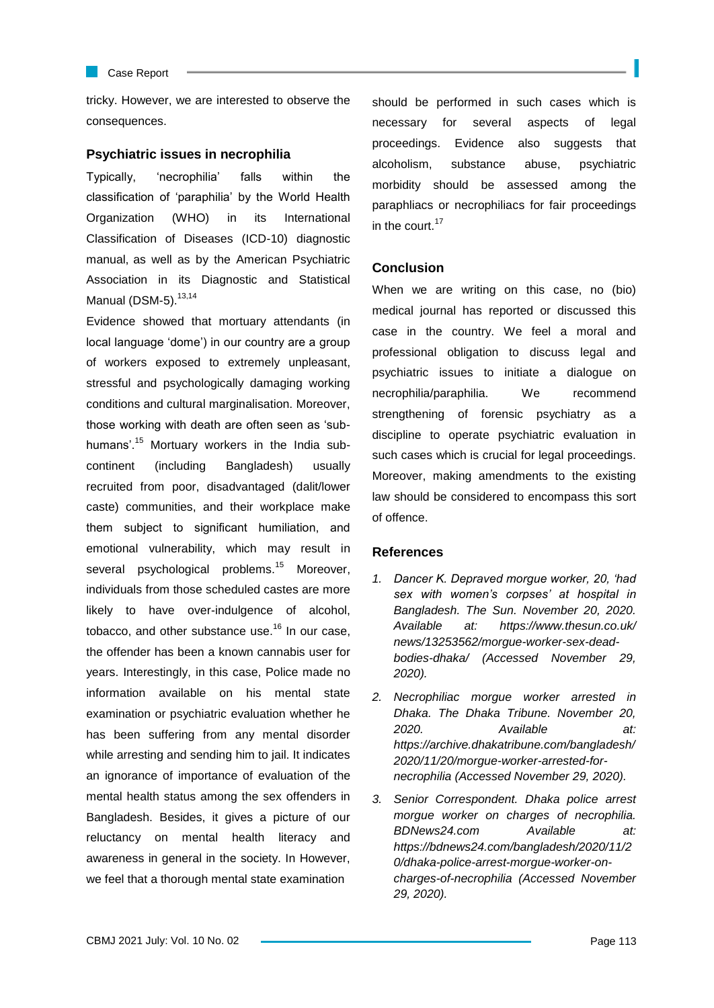Case Report

tricky. However, we are interested to observe the consequences.

# **Psychiatric issues in necrophilia**

Typically, "necrophilia" falls within the classification of "paraphilia" by the World Health Organization (WHO) in its International Classification of Diseases (ICD-10) diagnostic manual, as well as by the American Psychiatric Association in its Diagnostic and Statistical Manual (DSM-5). $13,14$ 

Evidence showed that mortuary attendants (in local language "dome") in our country are a group of workers exposed to extremely unpleasant, stressful and psychologically damaging working conditions and cultural marginalisation. Moreover, those working with death are often seen as "subhumans'.<sup>15</sup> Mortuary workers in the India subcontinent (including Bangladesh) usually recruited from poor, disadvantaged (dalit/lower caste) communities, and their workplace make them subject to significant humiliation, and emotional vulnerability, which may result in several psychological problems.<sup>15</sup> Moreover, individuals from those scheduled castes are more likely to have over-indulgence of alcohol, tobacco, and other substance use.<sup>16</sup> In our case, the offender has been a known cannabis user for years. Interestingly, in this case, Police made no information available on his mental state examination or psychiatric evaluation whether he has been suffering from any mental disorder while arresting and sending him to jail. It indicates an ignorance of importance of evaluation of the mental health status among the sex offenders in Bangladesh. Besides, it gives a picture of our reluctancy on mental health literacy and awareness in general in the society. In However, we feel that a thorough mental state examination

should be performed in such cases which is necessary for several aspects of legal proceedings. Evidence also suggests that alcoholism, substance abuse, psychiatric morbidity should be assessed among the paraphliacs or necrophiliacs for fair proceedings in the court. $17$ 

# **Conclusion**

When we are writing on this case, no (bio) medical journal has reported or discussed this case in the country. We feel a moral and professional obligation to discuss legal and psychiatric issues to initiate a dialogue on necrophilia/paraphilia. We recommend strengthening of forensic psychiatry as a discipline to operate psychiatric evaluation in such cases which is crucial for legal proceedings. Moreover, making amendments to the existing law should be considered to encompass this sort of offence.

### **References**

- *1. Dancer K. Depraved morgue worker, 20, 'had sex with women's corpses' at hospital in Bangladesh. The Sun. November 20, 2020. Available at: https://www.thesun.co.uk/ news/13253562/morgue-worker-sex-deadbodies-dhaka/ (Accessed November 29, 2020).*
- *2. Necrophiliac morgue worker arrested in Dhaka. The Dhaka Tribune. November 20, 2020. Available at: https://archive.dhakatribune.com/bangladesh/ 2020/11/20/morgue-worker-arrested-fornecrophilia (Accessed November 29, 2020).*
- *3. Senior Correspondent. Dhaka police arrest morgue worker on charges of necrophilia. BDNews24.com Available at: https://bdnews24.com/bangladesh/2020/11/2 0/dhaka-police-arrest-morgue-worker-oncharges-of-necrophilia (Accessed November 29, 2020).*